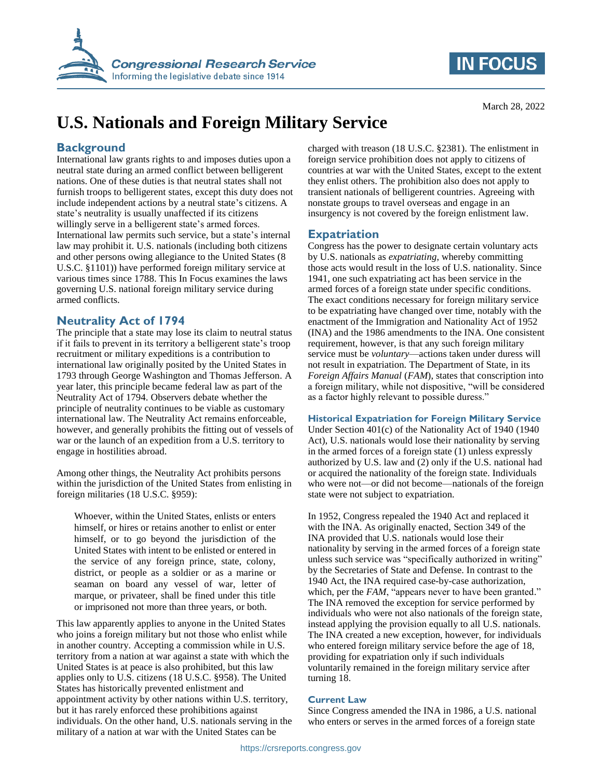



March 28, 2022

# **U.S. Nationals and Foreign Military Service**

# **Background**

International law grants rights to and imposes duties upon a neutral state during an armed conflict between belligerent nations. One of these duties is that neutral states shall not furnish troops to belligerent states, except this duty does not include independent actions by a neutral state's citizens. A state's neutrality is usually unaffected if its citizens willingly serve in a belligerent state's armed forces. International law permits such service, but a state's internal law may prohibit it. U.S. nationals (including both citizens and other persons owing allegiance to the United States (8 U.S.C. §1101)) have performed foreign military service at various times since 1788. This In Focus examines the laws governing U.S. national foreign military service during armed conflicts.

## **Neutrality Act of 1794**

The principle that a state may lose its claim to neutral status if it fails to prevent in its territory a belligerent state's troop recruitment or military expeditions is a contribution to international law originally posited by the United States in 1793 through George Washington and Thomas Jefferson. A year later, this principle became federal law as part of the Neutrality Act of 1794. Observers debate whether the principle of neutrality continues to be viable as customary international law. The Neutrality Act remains enforceable, however, and generally prohibits the fitting out of vessels of war or the launch of an expedition from a U.S. territory to engage in hostilities abroad.

Among other things, the Neutrality Act prohibits persons within the jurisdiction of the United States from enlisting in foreign militaries (18 U.S.C. §959):

Whoever, within the United States, enlists or enters himself, or hires or retains another to enlist or enter himself, or to go beyond the jurisdiction of the United States with intent to be enlisted or entered in the service of any foreign prince, state, colony, district, or people as a soldier or as a marine or seaman on board any vessel of war, letter of marque, or privateer, shall be fined under this title or imprisoned not more than three years, or both.

This law apparently applies to anyone in the United States who joins a foreign military but not those who enlist while in another country. Accepting a commission while in U.S. territory from a nation at war against a state with which the United States is at peace is also prohibited, but this law applies only to U.S. citizens (18 U.S.C. §958). The United States has historically prevented enlistment and appointment activity by other nations within U.S. territory, but it has rarely enforced these prohibitions against individuals. On the other hand, U.S. nationals serving in the military of a nation at war with the United States can be

charged with treason (18 U.S.C. §2381). The enlistment in foreign service prohibition does not apply to citizens of countries at war with the United States, except to the extent they enlist others. The prohibition also does not apply to transient nationals of belligerent countries. Agreeing with nonstate groups to travel overseas and engage in an insurgency is not covered by the foreign enlistment law.

# **Expatriation**

Congress has the power to designate certain voluntary acts by U.S. nationals as *expatriating*, whereby committing those acts would result in the loss of U.S. nationality. Since 1941, one such expatriating act has been service in the armed forces of a foreign state under specific conditions. The exact conditions necessary for foreign military service to be expatriating have changed over time, notably with the enactment of the Immigration and Nationality Act of 1952 (INA) and the 1986 amendments to the INA. One consistent requirement, however, is that any such foreign military service must be *voluntary*—actions taken under duress will not result in expatriation. The Department of State, in its *Foreign Affairs Manual* (*FAM*), states that conscription into a foreign military, while not dispositive, "will be considered as a factor highly relevant to possible duress."

### **Historical Expatriation for Foreign Military Service**

Under Section 401(c) of the Nationality Act of 1940 (1940 Act), U.S. nationals would lose their nationality by serving in the armed forces of a foreign state (1) unless expressly authorized by U.S. law and (2) only if the U.S. national had or acquired the nationality of the foreign state. Individuals who were not—or did not become—nationals of the foreign state were not subject to expatriation.

In 1952, Congress repealed the 1940 Act and replaced it with the INA. As originally enacted, Section 349 of the INA provided that U.S. nationals would lose their nationality by serving in the armed forces of a foreign state unless such service was "specifically authorized in writing" by the Secretaries of State and Defense. In contrast to the 1940 Act, the INA required case-by-case authorization, which, per the *FAM*, "appears never to have been granted." The INA removed the exception for service performed by individuals who were not also nationals of the foreign state, instead applying the provision equally to all U.S. nationals. The INA created a new exception, however, for individuals who entered foreign military service before the age of 18, providing for expatriation only if such individuals voluntarily remained in the foreign military service after turning 18.

### **Current Law**

Since Congress amended the INA in 1986, a U.S. national who enters or serves in the armed forces of a foreign state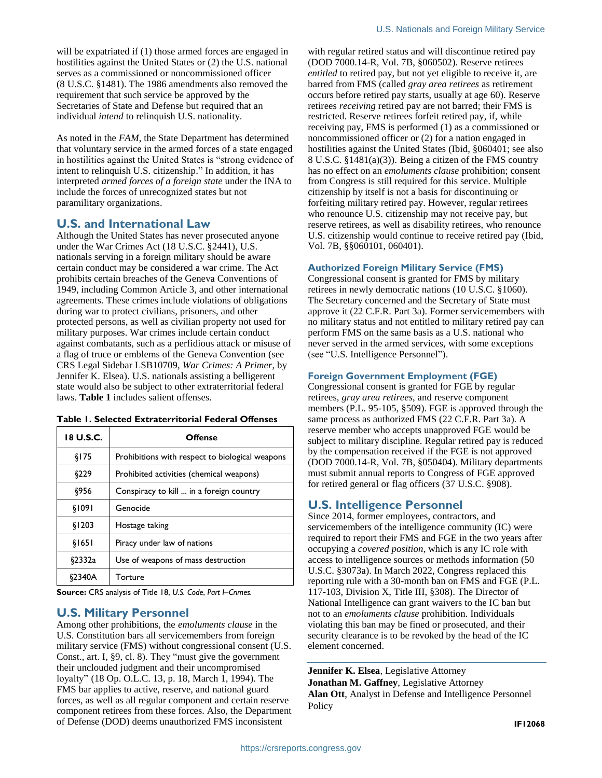will be expatriated if (1) those armed forces are engaged in hostilities against the United States or (2) the U.S. national serves as a commissioned or noncommissioned officer (8 U.S.C. §1481). The 1986 amendments also removed the requirement that such service be approved by the Secretaries of State and Defense but required that an individual *intend* to relinquish U.S. nationality.

As noted in the *FAM*, the State Department has determined that voluntary service in the armed forces of a state engaged in hostilities against the United States is "strong evidence of intent to relinquish U.S. citizenship." In addition, it has interpreted *armed forces of a foreign state* under the INA to include the forces of unrecognized states but not paramilitary organizations.

### **U.S. and International Law**

Although the United States has never prosecuted anyone under the War Crimes Act (18 U.S.C. §2441), U.S. nationals serving in a foreign military should be aware certain conduct may be considered a war crime. The Act prohibits certain breaches of the Geneva Conventions of 1949, including Common Article 3, and other international agreements. These crimes include violations of obligations during war to protect civilians, prisoners, and other protected persons, as well as civilian property not used for military purposes. War crimes include certain conduct against combatants, such as a perfidious attack or misuse of a flag of truce or emblems of the Geneva Convention (see CRS Legal Sidebar LSB10709, *War Crimes: A Primer*, by Jennifer K. Elsea). U.S. nationals assisting a belligerent state would also be subject to other extraterritorial federal laws. **[Table 1](#page-1-0)** includes salient offenses.

| 18 U.S.C. | <b>Offense</b>                                  |
|-----------|-------------------------------------------------|
| \$175     | Prohibitions with respect to biological weapons |
| \$229     | Prohibited activities (chemical weapons)        |
| \$956     | Conspiracy to kill  in a foreign country        |
| \$1091    | Genocide                                        |
| \$1203    | Hostage taking                                  |
| \$1651    | Piracy under law of nations                     |
| §2332a    | Use of weapons of mass destruction              |
| 62340A    | Torture                                         |

#### <span id="page-1-0"></span>**Table 1. Selected Extraterritorial Federal Offenses**

**Source:** CRS analysis of Title 18, *U.S. Code*, *Part I–Crimes.*

### **U.S. Military Personnel**

Among other prohibitions, the *emoluments clause* in the U.S. Constitution bars all servicemembers from foreign military service (FMS) without congressional consent (U.S. Const., art. I, §9, cl. 8). They "must give the government their unclouded judgment and their uncompromised loyalty" (18 Op. O.L.C. 13, p. 18, March 1, 1994). The FMS bar applies to active, reserve, and national guard forces, as well as all regular component and certain reserve component retirees from these forces. Also, the Department of Defense (DOD) deems unauthorized FMS inconsistent

with regular retired status and will discontinue retired pay (DOD 7000.14-R, Vol. 7B, §060502). Reserve retirees *entitled* to retired pay, but not yet eligible to receive it, are barred from FMS (called *gray area retirees* as retirement occurs before retired pay starts, usually at age 60). Reserve retirees *receiving* retired pay are not barred; their FMS is restricted. Reserve retirees forfeit retired pay, if, while receiving pay, FMS is performed (1) as a commissioned or noncommissioned officer or (2) for a nation engaged in hostilities against the United States (Ibid, §060401; see also 8 U.S.C. §1481(a)(3)). Being a citizen of the FMS country has no effect on an *emoluments clause* prohibition; consent from Congress is still required for this service. Multiple citizenship by itself is not a basis for discontinuing or forfeiting military retired pay. However, regular retirees who renounce U.S. citizenship may not receive pay, but reserve retirees, as well as disability retirees, who renounce U.S. citizenship would continue to receive retired pay (Ibid, Vol. 7B, §§060101, 060401).

### **Authorized Foreign Military Service (FMS)**

Congressional consent is granted for FMS by military retirees in newly democratic nations (10 U.S.C. §1060). The Secretary concerned and the Secretary of State must approve it (22 C.F.R. Part 3a). Former servicemembers with no military status and not entitled to military retired pay can perform FMS on the same basis as a U.S. national who never served in the armed services, with some exceptions (see ["U.S. Intelligence Personnel"](#page-1-1)).

## **Foreign Government Employment (FGE)**

Congressional consent is granted for FGE by regular retirees, *gray area retirees*, and reserve component members (P.L. 95-105, §509). FGE is approved through the same process as authorized FMS (22 C.F.R. Part 3a). A reserve member who accepts unapproved FGE would be subject to military discipline. Regular retired pay is reduced by the compensation received if the FGE is not approved (DOD 7000.14-R, Vol. 7B, §050404). Military departments must submit annual reports to Congress of FGE approved for retired general or flag officers (37 U.S.C. §908).

# <span id="page-1-1"></span>**U.S. Intelligence Personnel**

Since 2014, former employees, contractors, and servicemembers of the intelligence community (IC) were required to report their FMS and FGE in the two years after occupying a *covered position*, which is any IC role with access to intelligence sources or methods information (50 U.S.C. §3073a). In March 2022, Congress replaced this reporting rule with a 30-month ban on FMS and FGE (P.L. 117-103, Division X, Title III, §308). The Director of National Intelligence can grant waivers to the IC ban but not to an *emoluments clause* prohibition. Individuals violating this ban may be fined or prosecuted, and their security clearance is to be revoked by the head of the IC element concerned.

**Jennifer K. Elsea**, Legislative Attorney **Jonathan M. Gaffney**, Legislative Attorney **Alan Ott**, Analyst in Defense and Intelligence Personnel Policy